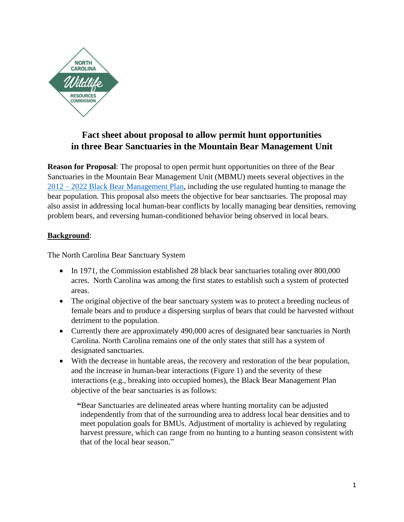

## **Fact sheet about proposal to allow permit hunt opportunities in three Bear Sanctuaries in the Mountain Bear Management Unit**

**Reason for Proposal**: The proposal to open permit hunt opportunities on three of the Bear Sanctuaries in the Mountain Bear Management Unit (MBMU) meets several objectives in the 2012 – [2022 Black Bear Management Plan,](https://www.ncwildlife.org/Portals/0/Learning/documents/Species/Bear/Black%20Bear%20Management%20Plan_2012-2022.pdf) including the use regulated hunting to manage the bear population. This proposal also meets the objective for bear sanctuaries. The proposal may also assist in addressing local human-bear conflicts by locally managing bear densities, removing problem bears, and reversing human-conditioned behavior being observed in local bears.

## **Background**:

The North Carolina Bear Sanctuary System

- In 1971, the Commission established 28 black bear sanctuaries totaling over 800,000 acres. North Carolina was among the first states to establish such a system of protected areas.
- The original objective of the bear sanctuary system was to protect a breeding nucleus of female bears and to produce a dispersing surplus of bears that could be harvested without detriment to the population.
- Currently there are approximately 490,000 acres of designated bear sanctuaries in North Carolina. North Carolina remains one of the only states that still has a system of designated sanctuaries.
- With the decrease in huntable areas, the recovery and restoration of the bear population, and the increase in human-bear interactions (Figure 1) and the severity of these interactions (e.g., breaking into occupied homes), the Black Bear Management Plan objective of the bear sanctuaries is as follows:

**"**Bear Sanctuaries are delineated areas where hunting mortality can be adjusted independently from that of the surrounding area to address local bear densities and to meet population goals for BMUs. Adjustment of mortality is achieved by regulating harvest pressure, which can range from no hunting to a hunting season consistent with that of the local bear season."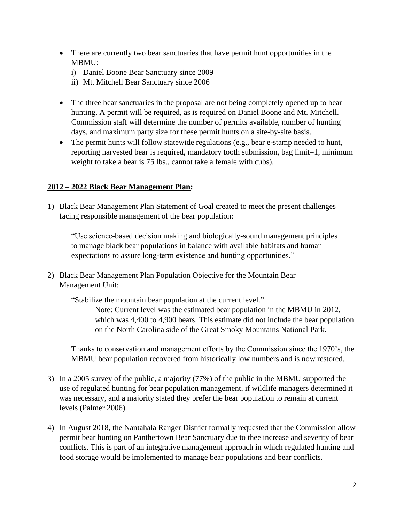- There are currently two bear sanctuaries that have permit hunt opportunities in the MBMU:
	- i) Daniel Boone Bear Sanctuary since 2009
	- ii) Mt. Mitchell Bear Sanctuary since 2006
- The three bear sanctuaries in the proposal are not being completely opened up to bear hunting. A permit will be required, as is required on Daniel Boone and Mt. Mitchell. Commission staff will determine the number of permits available, number of hunting days, and maximum party size for these permit hunts on a site-by-site basis.
- The permit hunts will follow statewide regulations (e.g., bear e-stamp needed to hunt, reporting harvested bear is required, mandatory tooth submission, bag limit=1, minimum weight to take a bear is 75 lbs., cannot take a female with cubs).

## **2012 – [2022 Black Bear Management Plan:](https://www.ncwildlife.org/Portals/0/Learning/documents/Species/Bear/Black%20Bear%20Management%20Plan_2012-2022.pdf)**

1) Black Bear Management Plan Statement of Goal created to meet the present challenges facing responsible management of the bear population:

"Use science-based decision making and biologically-sound management principles to manage black bear populations in balance with available habitats and human expectations to assure long-term existence and hunting opportunities."

2) Black Bear Management Plan Population Objective for the Mountain Bear Management Unit:

"Stabilize the mountain bear population at the current level."

Note: Current level was the estimated bear population in the MBMU in 2012, which was 4,400 to 4,900 bears. This estimate did not include the bear population on the North Carolina side of the Great Smoky Mountains National Park.

Thanks to conservation and management efforts by the Commission since the 1970's, the MBMU bear population recovered from historically low numbers and is now restored.

- 3) In a 2005 survey of the public, a majority (77%) of the public in the MBMU supported the use of regulated hunting for bear population management, if wildlife managers determined it was necessary, and a majority stated they prefer the bear population to remain at current levels (Palmer 2006).
- 4) In August 2018, the Nantahala Ranger District formally requested that the Commission allow permit bear hunting on Panthertown Bear Sanctuary due to thee increase and severity of bear conflicts. This is part of an integrative management approach in which regulated hunting and food storage would be implemented to manage bear populations and bear conflicts.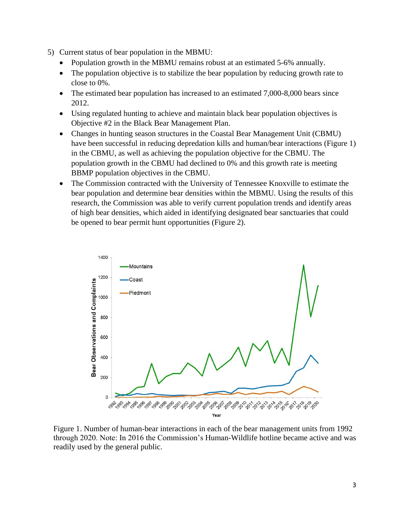- 5) Current status of bear population in the MBMU:
	- Population growth in the MBMU remains robust at an estimated 5-6% annually.
	- The population objective is to stabilize the bear population by reducing growth rate to close to 0%.
	- The estimated bear population has increased to an estimated 7,000-8,000 bears since 2012.
	- Using regulated hunting to achieve and maintain black bear population objectives is Objective #2 in the Black Bear Management Plan.
	- Changes in hunting season structures in the Coastal Bear Management Unit (CBMU) have been successful in reducing depredation kills and human/bear interactions (Figure 1) in the CBMU, as well as achieving the population objective for the CBMU. The population growth in the CBMU had declined to 0% and this growth rate is meeting BBMP population objectives in the CBMU.
	- The Commission contracted with the University of Tennessee Knoxville to estimate the bear population and determine bear densities within the MBMU. Using the results of this research, the Commission was able to verify current population trends and identify areas of high bear densities, which aided in identifying designated bear sanctuaries that could be opened to bear permit hunt opportunities (Figure 2).



Figure 1. Number of human-bear interactions in each of the bear management units from 1992 through 2020. Note: In 2016 the Commission's Human-Wildlife hotline became active and was readily used by the general public.